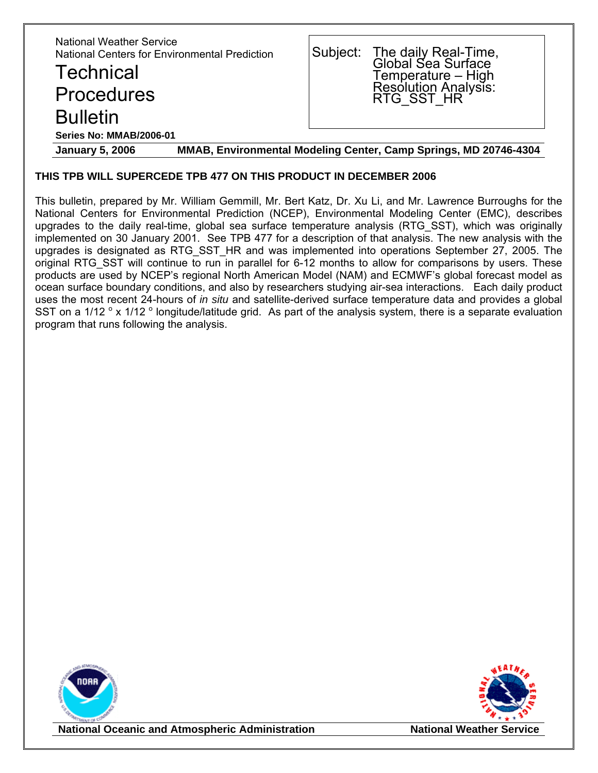| <b>National Weather Service</b><br>National Centers for Environmental Prediction<br><b>Technical</b><br><b>Procedures</b><br><b>Bulletin</b> |  | Subject: The daily Real-Time,<br>Global Sea Surface<br>Temperature – High<br>Resolution Analysis:<br>RTG_SST_HR |  |  |
|----------------------------------------------------------------------------------------------------------------------------------------------|--|-----------------------------------------------------------------------------------------------------------------|--|--|
| <b>Series No: MMAB/2006-01</b>                                                                                                               |  |                                                                                                                 |  |  |
| MMAB, Environmental Modeling Center, Camp Springs, MD 20746-4304<br><b>January 5, 2006</b>                                                   |  |                                                                                                                 |  |  |

#### **THIS TPB WILL SUPERCEDE TPB 477 ON THIS PRODUCT IN DECEMBER 2006**

This bulletin, prepared by Mr. William Gemmill, Mr. Bert Katz, Dr. Xu Li, and Mr. Lawrence Burroughs for the National Centers for Environmental Prediction (NCEP), Environmental Modeling Center (EMC), describes upgrades to the daily real-time, global sea surface temperature analysis (RTG\_SST), which was originally implemented on 30 January 2001. See TPB 477 for a description of that analysis. The new analysis with the upgrades is designated as RTG\_SST\_HR and was implemented into operations September 27, 2005. The original RTG\_SST will continue to run in parallel for 6-12 months to allow for comparisons by users. These products are used by NCEP's regional North American Model (NAM) and ECMWF's global forecast model as ocean surface boundary conditions, and also by researchers studying air-sea interactions. Each daily product uses the most recent 24-hours of *in situ* and satellite-derived surface temperature data and provides a global SST on a 1/12  $\degree$  x 1/12  $\degree$  longitude/latitude grid. As part of the analysis system, there is a separate evaluation program that runs following the analysis.





**National Oceanic and Atmospheric Administration National Weather Service**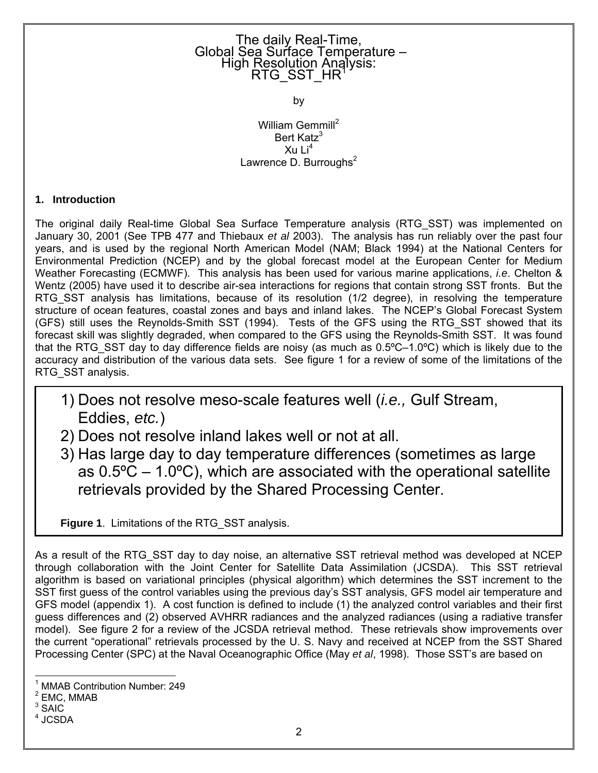# The daily Real-Time,<br>Global Sea Surface Temperature –<br>High Resolution Analysis: RTG\_SST\_HR

by

William Gemmill<sup>[2](#page-1-1)</sup> Bert Katz<sup>[3](#page-1-2)</sup>  $X$ u Li $^4$  $^4$ Lawrence D. Burroughs $2$ 

### **1. Introduction**

The original daily Real-time Global Sea Surface Temperature analysis (RTG\_SST) was implemented on January 30, 2001 (See TPB 477 and Thiebaux *et al* 2003). The analysis has run reliably over the past four years, and is used by the regional North American Model (NAM; Black 1994) at the National Centers for Environmental Prediction (NCEP) and by the global forecast model at the European Center for Medium Weather Forecasting (ECMWF). This analysis has been used for various marine applications, *i.e*. Chelton & Wentz (2005) have used it to describe air-sea interactions for regions that contain strong SST fronts. But the RTG SST analysis has limitations, because of its resolution (1/2 degree), in resolving the temperature structure of ocean features, coastal zones and bays and inland lakes. The NCEP's Global Forecast System (GFS) still uses the Reynolds-Smith SST (1994). Tests of the GFS using the RTG\_SST showed that its forecast skill was slightly degraded, when compared to the GFS using the Reynolds-Smith SST. It was found that the RTG SST day to day difference fields are noisy (as much as  $0.5^{\circ}C-1.0^{\circ}C$ ) which is likely due to the accuracy and distribution of the various data sets. See figure 1 for a review of some of the limitations of the RTG SST analysis.

- 1) Does not resolve meso-scale features well (*i.e.,* Gulf Stream, Eddies, *etc.*)
- 2) Does not resolve inland lakes well or not at all.
- 3) Has large day to day temperature differences (sometimes as large as  $0.5^{\circ}$ C – 1.0 $^{\circ}$ C), which are associated with the operational satellite retrievals provided by the Shared Processing Center.

**Figure 1**. Limitations of the RTG\_SST analysis.

As a result of the RTG\_SST day to day noise, an alternative SST retrieval method was developed at NCEP through collaboration with the Joint Center for Satellite Data Assimilation (JCSDA). This SST retrieval algorithm is based on variational principles (physical algorithm) which determines the SST increment to the SST first guess of the control variables using the previous day's SST analysis, GFS model air temperature and GFS model (appendix 1). A cost function is defined to include (1) the analyzed control variables and their first guess differences and (2) observed AVHRR radiances and the analyzed radiances (using a radiative transfer model). See figure 2 for a review of the JCSDA retrieval method. These retrievals show improvements over the current "operational" retrievals processed by the U. S. Navy and received at NCEP from the SST Shared Processing Center (SPC) at the Naval Oceanographic Office (May *et al*, 1998). Those SST's are based on

<span id="page-1-0"></span> <sup>1</sup> MMAB Contribution Number: 249

<span id="page-1-1"></span> $^2$  EMC, MMAB

<span id="page-1-2"></span> $3$  SAIC

<span id="page-1-3"></span><sup>4</sup> JCSDA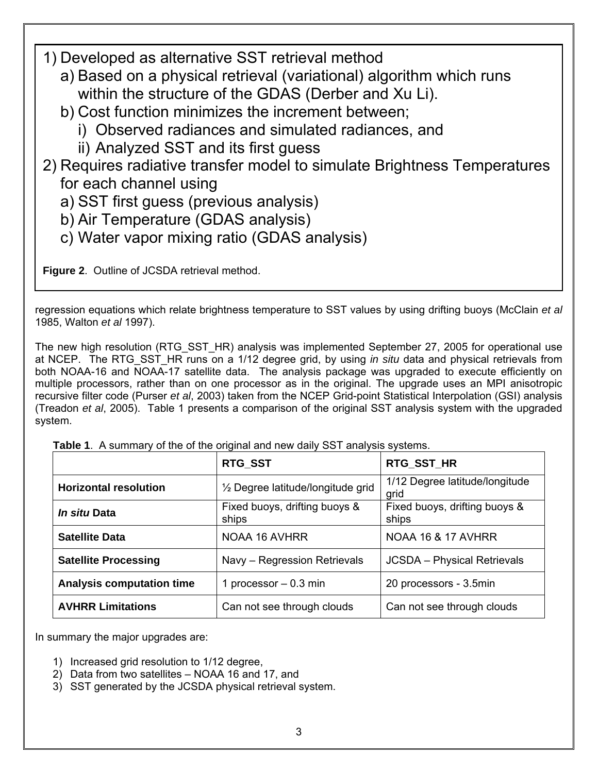1) Developed as alternative SST retrieval method

- a) Based on a physical retrieval (variational) algorithm which runs within the structure of the GDAS (Derber and Xu Li).
- b) Cost function minimizes the increment between;
	- i) Observed radiances and simulated radiances, and
	- ii) Analyzed SST and its first guess

2) Requires radiative transfer model to simulate Brightness Temperatures for each channel using

a) SST first guess (previous analysis)

- b) Air Temperature (GDAS analysis)
- c) Water vapor mixing ratio (GDAS analysis)

**Figure 2**. Outline of JCSDA retrieval method.

regression equations which relate brightness temperature to SST values by using drifting buoys (McClain *et al* 1985, Walton *et al* 1997).

The new high resolution (RTG SST HR) analysis was implemented September 27, 2005 for operational use at NCEP. The RTG\_SST\_HR runs on a 1/12 degree grid, by using *in situ* data and physical retrievals from both NOAA-16 and NOAA-17 satellite data. The analysis package was upgraded to execute efficiently on multiple processors, rather than on one processor as in the original. The upgrade uses an MPI anisotropic recursive filter code (Purser *et al*, 2003) taken from the NCEP Grid-point Statistical Interpolation (GSI) analysis (Treadon *et al*, 2005). Table 1 presents a comparison of the original SST analysis system with the upgraded system.

|                                  | RTG_SST                                | RTG_SST_HR                             |
|----------------------------------|----------------------------------------|----------------------------------------|
| <b>Horizontal resolution</b>     | 1/2 Degree latitude/longitude grid     | 1/12 Degree latitude/longitude<br>grid |
| <i>In situ</i> Data              | Fixed buoys, drifting buoys &<br>ships | Fixed buoys, drifting buoys &<br>ships |
| <b>Satellite Data</b>            | NOAA 16 AVHRR                          | <b>NOAA 16 &amp; 17 AVHRR</b>          |
| <b>Satellite Processing</b>      | Navy - Regression Retrievals           | <b>JCSDA</b> - Physical Retrievals     |
| <b>Analysis computation time</b> | 1 processor $-0.3$ min                 | 20 processors - 3.5min                 |
| <b>AVHRR Limitations</b>         | Can not see through clouds             | Can not see through clouds             |

 **Table 1**. A summary of the of the original and new daily SST analysis systems.

In summary the major upgrades are:

- 1) Increased grid resolution to 1/12 degree,
- 2) Data from two satellites NOAA 16 and 17, and
- 3) SST generated by the JCSDA physical retrieval system.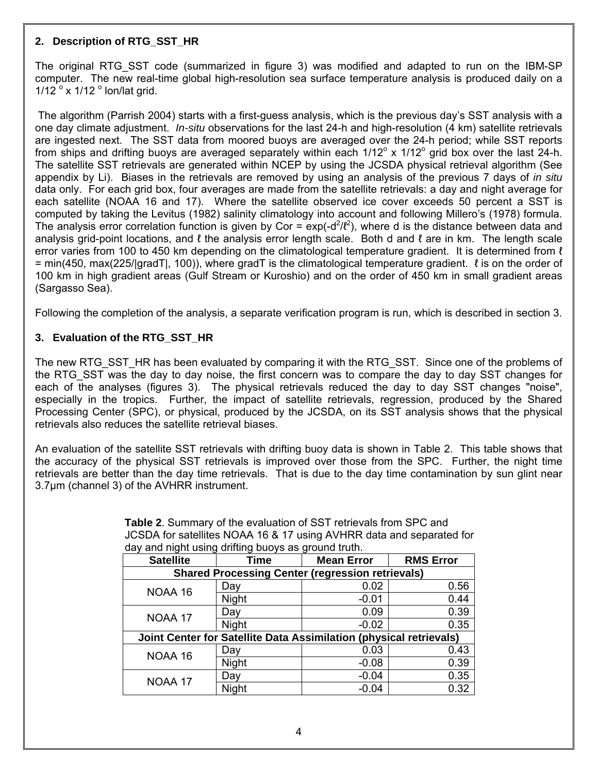#### **2. Description of RTG\_SST\_HR**

The original RTG\_SST code (summarized in figure 3) was modified and adapted to run on the IBM-SP computer. The new real-time global high-resolution sea surface temperature analysis is produced daily on a  $1/12$  ° x  $1/12$  ° lon/lat grid.

 The algorithm (Parrish 2004) starts with a first-guess analysis, which is the previous day's SST analysis with a one day climate adjustment. *In-situ* observations for the last 24-h and high-resolution (4 km) satellite retrievals are ingested next. The SST data from moored buoys are averaged over the 24-h period; while SST reports from ships and drifting buoys are averaged separately within each  $1/12^{\circ}$  x  $1/12^{\circ}$  grid box over the last 24-h. The satellite SST retrievals are generated within NCEP by using the JCSDA physical retrieval algorithm (See appendix by Li). Biases in the retrievals are removed by using an analysis of the previous 7 days of *in situ* data only. For each grid box, four averages are made from the satellite retrievals: a day and night average for each satellite (NOAA 16 and 17). Where the satellite observed ice cover exceeds 50 percent a SST is computed by taking the Levitus (1982) salinity climatology into account and following Millero's (1978) formula. The analysis error correlation function is given by Cor =  $exp(-d^2/l^2)$ , where d is the distance between data and analysis grid-point locations, and  $\ell$  the analysis error length scale. Both d and  $\ell$  are in km. The length scale error varies from 100 to 450 km depending on the climatological temperature gradient. It is determined from  $\ell$  $=$  min(450, max(225/|gradT|, 100)), where gradT is the climatological temperature gradient.  $\ell$  is on the order of 100 km in high gradient areas (Gulf Stream or Kuroshio) and on the order of 450 km in small gradient areas (Sargasso Sea).

Following the completion of the analysis, a separate verification program is run, which is described in section 3.

# **3. Evaluation of the RTG\_SST\_HR**

The new RTG SST HR has been evaluated by comparing it with the RTG SST. Since one of the problems of the RTG\_SST was the day to day noise, the first concern was to compare the day to day SST changes for each of the analyses (figures 3). The physical retrievals reduced the day to day SST changes "noise", especially in the tropics. Further, the impact of satellite retrievals, regression, produced by the Shared Processing Center (SPC), or physical, produced by the JCSDA, on its SST analysis shows that the physical retrievals also reduces the satellite retrieval biases.

An evaluation of the satellite SST retrievals with drifting buoy data is shown in Table 2. This table shows that the accuracy of the physical SST retrievals is improved over those from the SPC. Further, the night time retrievals are better than the day time retrievals. That is due to the day time contamination by sun glint near 3.7µm (channel 3) of the AVHRR instrument.

| <b>Satellite</b>                                                   | Time         | <b>Mean Error</b> | <b>RMS Error</b> |  |  |  |
|--------------------------------------------------------------------|--------------|-------------------|------------------|--|--|--|
| <b>Shared Processing Center (regression retrievals)</b>            |              |                   |                  |  |  |  |
| NOAA 16                                                            | Day          | 0.02              | 0.56             |  |  |  |
|                                                                    | Night        | $-0.01$           | 0.44             |  |  |  |
| NOAA 17                                                            | Day          | 0.09              | 0.39             |  |  |  |
|                                                                    | <b>Night</b> | $-0.02$           | 0.35             |  |  |  |
| Joint Center for Satellite Data Assimilation (physical retrievals) |              |                   |                  |  |  |  |
| NOAA 16                                                            | Day          | 0.03              | 0.43             |  |  |  |
|                                                                    | Night        | $-0.08$           | 0.39             |  |  |  |
| NOAA 17                                                            | Day          | $-0.04$           | 0.35             |  |  |  |
|                                                                    | <b>Night</b> | $-0.04$           | 0.32             |  |  |  |

 **Table 2**. Summary of the evaluation of SST retrievals from SPC and JCSDA for satellites NOAA 16 & 17 using AVHRR data and separated for day and night using drifting buoys as ground truth.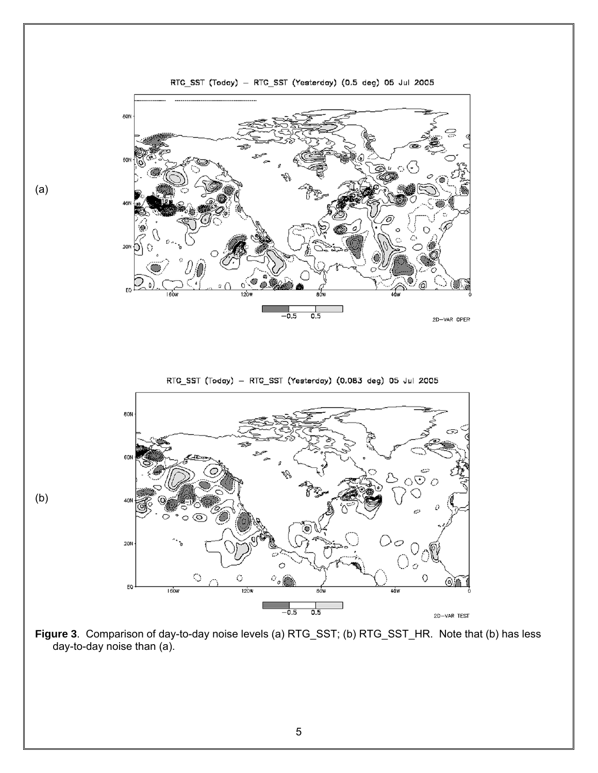

(a)

(b)

RTG\_SST (Today) - RTG\_SST (Yesterday) (0.5 deg) 05 Jul 2005

RTG\_SST (Today) - RTG\_SST (Yesterday) (0.083 deg) 05 Jul 2005



**Figure 3**. Comparison of day-to-day noise levels (a) RTG\_SST; (b) RTG\_SST\_HR. Note that (b) has less day-to-day noise than (a).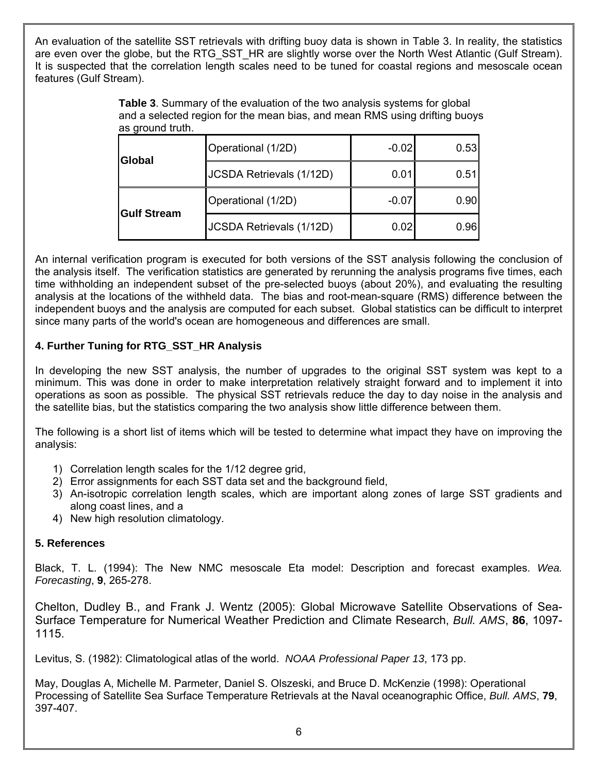An evaluation of the satellite SST retrievals with drifting buoy data is shown in Table 3. In reality, the statistics are even over the globe, but the RTG SST HR are slightly worse over the North West Atlantic (Gulf Stream). It is suspected that the correlation length scales need to be tuned for coastal regions and mesoscale ocean features (Gulf Stream).

> **Table 3**. Summary of the evaluation of the two analysis systems for global and a selected region for the mean bias, and mean RMS using drifting buoys as ground truth.

| <b>IGIobal</b>     | Operational (1/2D)       | $-0.02$ | 0.53 |
|--------------------|--------------------------|---------|------|
|                    | JCSDA Retrievals (1/12D) | 0.01    | 0.51 |
| <b>Gulf Stream</b> | Operational (1/2D)       | $-0.07$ | 0.90 |
|                    | JCSDA Retrievals (1/12D) | 0.02    | 0.96 |

An internal verification program is executed for both versions of the SST analysis following the conclusion of the analysis itself. The verification statistics are generated by rerunning the analysis programs five times, each time withholding an independent subset of the pre-selected buoys (about 20%), and evaluating the resulting analysis at the locations of the withheld data. The bias and root-mean-square (RMS) difference between the independent buoys and the analysis are computed for each subset. Global statistics can be difficult to interpret since many parts of the world's ocean are homogeneous and differences are small.

# **4. Further Tuning for RTG\_SST\_HR Analysis**

In developing the new SST analysis, the number of upgrades to the original SST system was kept to a minimum. This was done in order to make interpretation relatively straight forward and to implement it into operations as soon as possible. The physical SST retrievals reduce the day to day noise in the analysis and the satellite bias, but the statistics comparing the two analysis show little difference between them.

The following is a short list of items which will be tested to determine what impact they have on improving the analysis:

- 1) Correlation length scales for the 1/12 degree grid,
- 2) Error assignments for each SST data set and the background field,
- 3) An-isotropic correlation length scales, which are important along zones of large SST gradients and along coast lines, and a
- 4) New high resolution climatology.

# **5. References**

Black, T. L. (1994): The New NMC mesoscale Eta model: Description and forecast examples. *Wea. Forecasting*, **9**, 265-278.

Chelton, Dudley B., and Frank J. Wentz (2005): Global Microwave Satellite Observations of Sea-Surface Temperature for Numerical Weather Prediction and Climate Research, *Bull. AMS*, **86**, 1097- 1115.

Levitus, S. (1982): Climatological atlas of the world. *NOAA Professional Paper 13*, 173 pp.

May, Douglas A, Michelle M. Parmeter, Daniel S. Olszeski, and Bruce D. McKenzie (1998): Operational Processing of Satellite Sea Surface Temperature Retrievals at the Naval oceanographic Office, *Bull. AMS*, **79**, 397-407.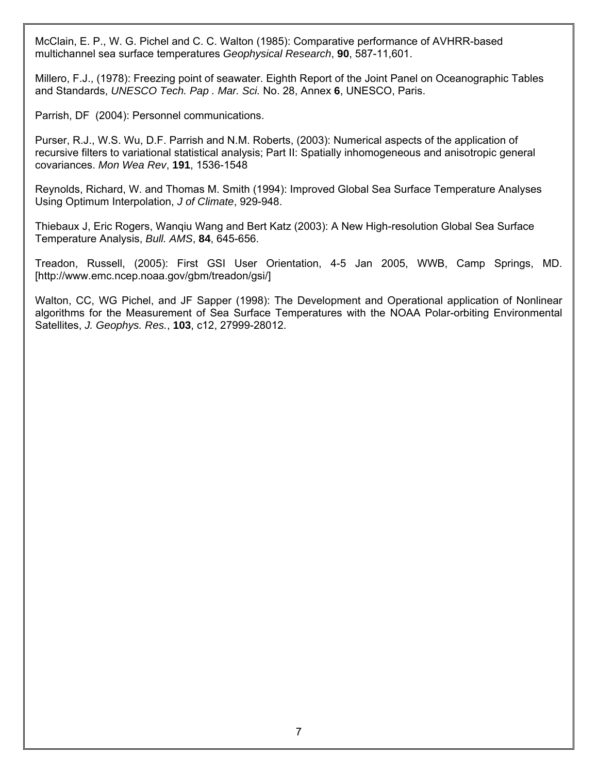McClain, E. P., W. G. Pichel and C. C. Walton (1985): Comparative performance of AVHRR-based multichannel sea surface temperatures *Geophysical Research*, **90**, 587-11,601.

Millero, F.J., (1978): Freezing point of seawater. Eighth Report of the Joint Panel on Oceanographic Tables and Standards, *UNESCO Tech. Pap . Mar. Sci.* No. 28, Annex **6**, UNESCO, Paris.

Parrish, DF (2004): Personnel communications.

Purser, R.J., W.S. Wu, D.F. Parrish and N.M. Roberts, (2003): Numerical aspects of the application of recursive filters to variational statistical analysis; Part II: Spatially inhomogeneous and anisotropic general covariances. *Mon Wea Rev*, **191**, 1536-1548

Reynolds, Richard, W. and Thomas M. Smith (1994): Improved Global Sea Surface Temperature Analyses Using Optimum Interpolation, *J of Climate*, 929-948.

Thiebaux J, Eric Rogers, Wanqiu Wang and Bert Katz (2003): A New High-resolution Global Sea Surface Temperature Analysis, *Bull. AMS*, **84**, 645-656.

Treadon, Russell, (2005): First GSI User Orientation, 4-5 Jan 2005, WWB, Camp Springs, MD. [http://www.emc.ncep.noaa.gov/gbm/treadon/gsi/]

Walton, CC, WG Pichel, and JF Sapper (1998): The Development and Operational application of Nonlinear algorithms for the Measurement of Sea Surface Temperatures with the NOAA Polar-orbiting Environmental Satellites, *J. Geophys. Res.*, **103**, c12, 27999-28012.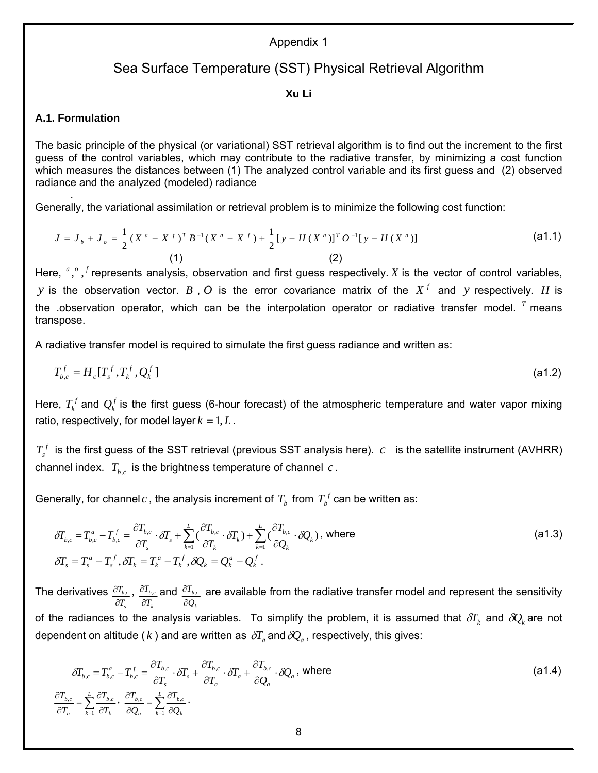#### Appendix 1

# Sea Surface Temperature (SST) Physical Retrieval Algorithm

#### **Xu Li**

#### **A.1. Formulation**

.

The basic principle of the physical (or variational) SST retrieval algorithm is to find out the increment to the first guess of the control variables, which may contribute to the radiative transfer, by minimizing a cost function which measures the distances between (1) The analyzed control variable and its first guess and (2) observed radiance and the analyzed (modeled) radiance

Generally, the variational assimilation or retrieval problem is to minimize the following cost function:

$$
J = J_{b} + J_{o} = \frac{1}{2} (X^{a} - X^{f})^{T} B^{-1} (X^{a} - X^{f}) + \frac{1}{2} [y - H (X^{a})]^{T} O^{-1} [y - H (X^{a})]
$$
\n(2)

Here,  $\alpha$ ,  $\beta$ ,  $\beta$  represents analysis, observation and first guess respectively. *X* is the vector of control variables, *y* is the observation vector. *B*, *O* is the error covariance matrix of the  $X<sup>f</sup>$  and *y* respectively. *H* is the .observation operator, which can be the interpolation operator or radiative transfer model. *<sup>T</sup>* means transpose.

A radiative transfer model is required to simulate the first guess radiance and written as:

$$
T_{b,c}^f = H_c[T_s^f, T_k^f, Q_k^f]
$$
 (a1.2)

Here,  $T_k^f$  and  $Q_k^f$  is the first guess (6-hour forecast) of the atmospheric temperature and water vapor mixing ratio, respectively, for model layer  $k = 1, L$ .

 $T_s^f$  is the first guess of the SST retrieval (previous SST analysis here).  $c$  is the satellite instrument (AVHRR) channel index.  $T_{b,c}$  is the brightness temperature of channel  $c$ .

Generally, for channel  $c$  , the analysis increment of  $T_b$  from  $T_b^f$  can be written as:

$$
\delta T_{b,c} = T_{b,c}^a - T_{b,c}^f = \frac{\partial T_{b,c}}{\partial T_s} \cdot \delta T_s + \sum_{k=1}^L \left(\frac{\partial T_{b,c}}{\partial T_k} \cdot \delta T_k\right) + \sum_{k=1}^L \left(\frac{\partial T_{b,c}}{\partial Q_k} \cdot \delta Q_k\right), \text{ where}
$$
\n
$$
\delta T_s = T_s^a - T_s^f, \delta T_k = T_k^a - T_k^f, \delta Q_k = Q_k^a - Q_k^f.
$$
\n(a1.3)

The derivatives *s b c T T* ∂  $\partial T_{_{b,c}}$  , *k b c T T* ∂  $\frac{\partial T_{b, c}}{\partial \boldsymbol{r}}$  and *k b c Q T* ∂  $\partial T_{b,c}$  are available from the radiative transfer model and represent the sensitivity of the radiances to the analysis variables. To simplify the problem, it is assumed that  $\delta T_k$  and  $\delta Q_k$  are not dependent on altitude ( $k$ ) and are written as  $\delta T_a$  and  $\delta Q_a$ , respectively, this gives:

$$
\delta T_{b,c} = T_{b,c}^a - T_{b,c}^f = \frac{\partial T_{b,c}}{\partial T_s} \cdot \delta T_s + \frac{\partial T_{b,c}}{\partial T_a} \cdot \delta T_a + \frac{\partial T_{b,c}}{\partial Q_a} \cdot \delta Q_a, \text{ where}
$$
\n
$$
\frac{\partial T_{b,c}}{\partial T_a} = \sum_{k=1}^L \frac{\partial T_{b,c}}{\partial T_k}, \frac{\partial T_{b,c}}{\partial Q_a} = \sum_{k=1}^L \frac{\partial T_{b,c}}{\partial Q_k}.
$$
\n(a1.4)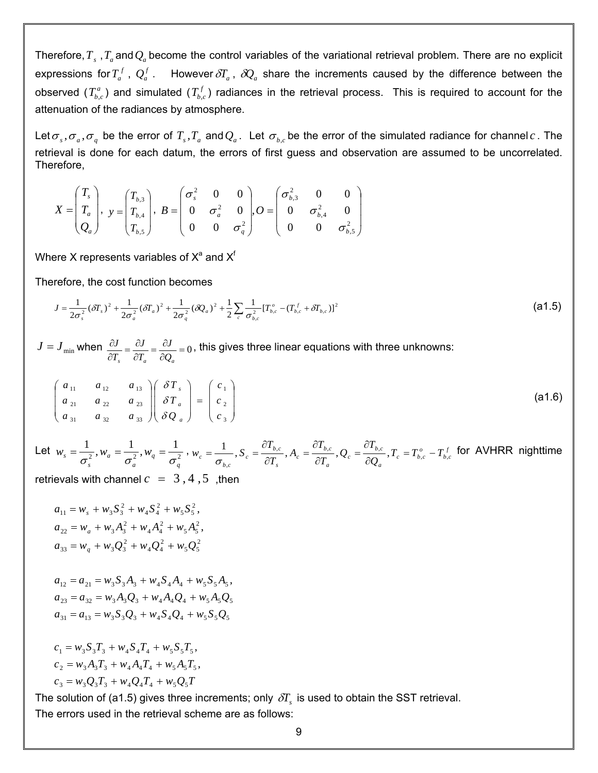Therefore,  $T_s$  ,  $T_a$  and  $Q_a$  become the control variables of the variational retrieval problem. There are no explicit expressions for  $T_a^f$  ,  $Q_a^f$  . However  $\delta T_a$ ,  $\delta Q_a$  share the increments caused by the difference between the observed  $(T^a_{b,c})$  and simulated  $(T^f_{b,c})$  radiances in the retrieval process. This is required to account for the attenuation of the radiances by atmosphere.

Let  $\sigma_s$ ,  $\sigma_a$ ,  $\sigma_q$  be the error of  $T_s$ ,  $T_a$  and  $Q_a$ . Let  $\sigma_{b,c}$  be the error of the simulated radiance for channel *c*. The retrieval is done for each datum, the errors of first guess and observation are assumed to be uncorrelated. Therefore,

$$
X = \begin{pmatrix} T_s \\ T_a \\ Q_a \end{pmatrix}, \quad y = \begin{pmatrix} T_{b,3} \\ T_{b,4} \\ T_{b,5} \end{pmatrix}, \quad B = \begin{pmatrix} \sigma_s^2 & 0 & 0 \\ 0 & \sigma_a^2 & 0 \\ 0 & 0 & \sigma_q^2 \end{pmatrix}, O = \begin{pmatrix} \sigma_{b,3}^2 & 0 & 0 \\ 0 & \sigma_{b,4}^2 & 0 \\ 0 & 0 & \sigma_{b,5}^2 \end{pmatrix}
$$

Where X represents variables of  $X^a$  and  $X^f$ 

Therefore, the cost function becomes

$$
J = \frac{1}{2\sigma_s^2} (\delta T_s)^2 + \frac{1}{2\sigma_a^2} (\delta T_a)^2 + \frac{1}{2\sigma_q^2} (\delta Q_a)^2 + \frac{1}{2} \sum_c \frac{1}{\sigma_{b,c}^2} [T_{b,c}^o - (T_{b,c}^f + \delta T_{b,c})]^2
$$
(a1.5)

 $J = J_{\text{min}}$  when  $\frac{\partial J}{\partial T_s} = \frac{\partial J}{\partial T_a} = \frac{\partial J}{\partial Q_a} = 0$  $\int_{s}$   $\partial T_a$  $\partial Q_a$ *J T J T*  $J = \frac{\partial J}{\partial t} = \frac{\partial J}{\partial t} = 0$ , this gives three linear equations with three unknowns:

$$
\begin{pmatrix} a_{11} & a_{12} & a_{13} \ a_{21} & a_{22} & a_{23} \ a_{31} & a_{32} & a_{33} \end{pmatrix} \begin{pmatrix} \delta T_s \\ \delta T_a \\ \delta Q_a \end{pmatrix} = \begin{pmatrix} c_1 \\ c_2 \\ c_3 \end{pmatrix}
$$
 (a1.6)

Let  $w_s = \frac{1}{2}$ ,  $w_a = \frac{1}{3}$ ,  $w_q = \frac{1}{3}$ *q q a a s*  $w_s = \frac{1}{\sigma^2}, w_a = \frac{1}{\sigma^2}, w_q = \frac{1}{\sigma^2}, w_c = \frac{1}{\sigma}$ ,  $S_c = \frac{v_{L_{bc}}}{\partial T}, A_c = \frac{v_{L_{bc}}}{\partial T}, Q_c = \frac{v_{L_{bc}}}{\partial O}, T_c = T_{b,c}^o - T_{b,c}^f$ *a b c c a b c c s b c c b c*  $C_c = \frac{1}{\sigma_{b,c}}$ ,  $S_c = \frac{1}{\partial T_s}$ ,  $A_c = \frac{1}{\partial T_a}$ ,  $Q_c = \frac{1}{\partial Q_a}$ ,  $T_c = T_{b,c}^o - T_a$ *T*  $\frac{b,c}{T_a}$ , Q *T A T T*  $W_c = \frac{1}{\sqrt{2\pi}}$ ,  $S_c = \frac{U_{b,c}}{2\pi}$ ,  $A_c = \frac{U_{b,c}}{2\pi}$ ,  $Q_c = \frac{U_{b,c}}{2\pi}$ ,  $T_c = T_{b,c}^o - T_{b,c}^f$  $\hat{\theta} = \frac{1}{\sigma_{b,c}}, S_c = \frac{\partial T_{b,c}}{\partial T_s}, A_c = \frac{\partial T_{b,c}}{\partial T_a}, Q_c = \frac{\partial T_{b,c}}{\partial Q_a}, T_c = T_{b,c}^o - \frac{\partial T_{b,c}}{\partial P_a}$ for AVHRR nighttime

retrievals with channel  $c = 3, 4, 5$ , then

$$
a_{11} = w_s + w_3 S_3^2 + w_4 S_4^2 + w_5 S_5^2,
$$
  
\n
$$
a_{22} = w_a + w_3 A_3^2 + w_4 A_4^2 + w_5 A_5^2,
$$
  
\n
$$
a_{33} = w_q + w_3 Q_3^2 + w_4 Q_4^2 + w_5 Q_5^2
$$

$$
a_{12} = a_{21} = w_3 S_3 A_3 + w_4 S_4 A_4 + w_5 S_5 A_5,
$$
  
\n
$$
a_{23} = a_{32} = w_3 A_3 Q_3 + w_4 A_4 Q_4 + w_5 A_5 Q_5
$$
  
\n
$$
a_{31} = a_{13} = w_3 S_3 Q_3 + w_4 S_4 Q_4 + w_5 S_5 Q_5
$$

$$
c_1 = w_3 S_3 T_3 + w_4 S_4 T_4 + w_5 S_5 T_5,
$$
  
\n
$$
c_2 = w_3 A_3 T_3 + w_4 A_4 T_4 + w_5 A_5 T_5,
$$
  
\n
$$
c_3 = w_3 Q_3 T_3 + w_4 Q_4 T_4 + w_5 Q_5 T
$$

The solution of (a1.5) gives three increments; only  $\delta T_s$  is used to obtain the SST retrieval. The errors used in the retrieval scheme are as follows: